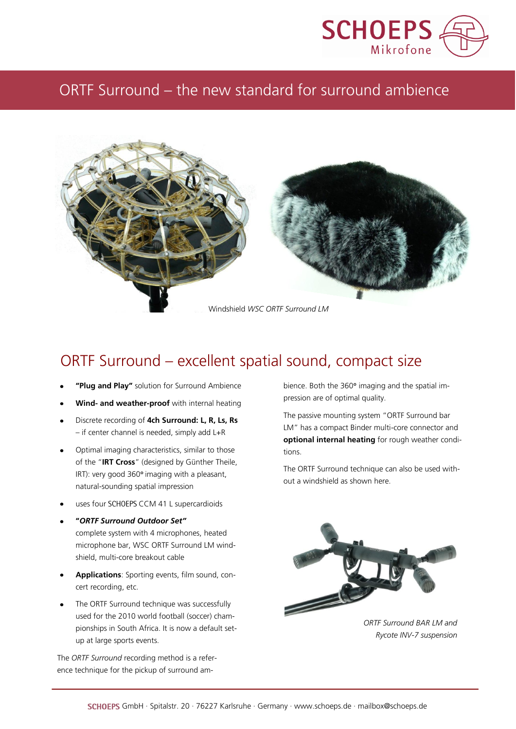

# ORTF Surround – the new standard for surround ambience



## ORTF Surround – excellent spatial sound, compact size

- **"Plug and Play"** solution for Surround Ambience
- **Wind- and weather-proof** with internal heating
- Discrete recording of **4ch Surround: L, R, Ls, Rs** – if center channel is needed, simply add L+R
- Optimal imaging characteristics, similar to those of the "**IRT Cross**" (designed by Günther Theile, IRT): very good 360° imaging with a pleasant, natural-sounding spatial impression
- uses four SCHOEPS CCM 41 L supercardioids
- **"***ORTF Surround Outdoor Set"* complete system with 4 microphones, heated microphone bar, WSC ORTF Surround LM windshield, multi-core breakout cable
- **Applications**: Sporting events, film sound, concert recording, etc.
- The ORTF Surround technique was successfully used for the 2010 world football (soccer) championships in South Africa. It is now a default setup at large sports events.

The *ORTF Surround* recording method is a reference technique for the pickup of surround ambience. Both the 360° imaging and the spatial impression are of optimal quality.

The passive mounting system "ORTF Surround bar LM" has a compact Binder multi-core connector and **optional internal heating** for rough weather conditions.

The ORTF Surround technique can also be used without a windshield as shown here.



*ORTF Surround BAR LM and Rycote INV-7 suspension*